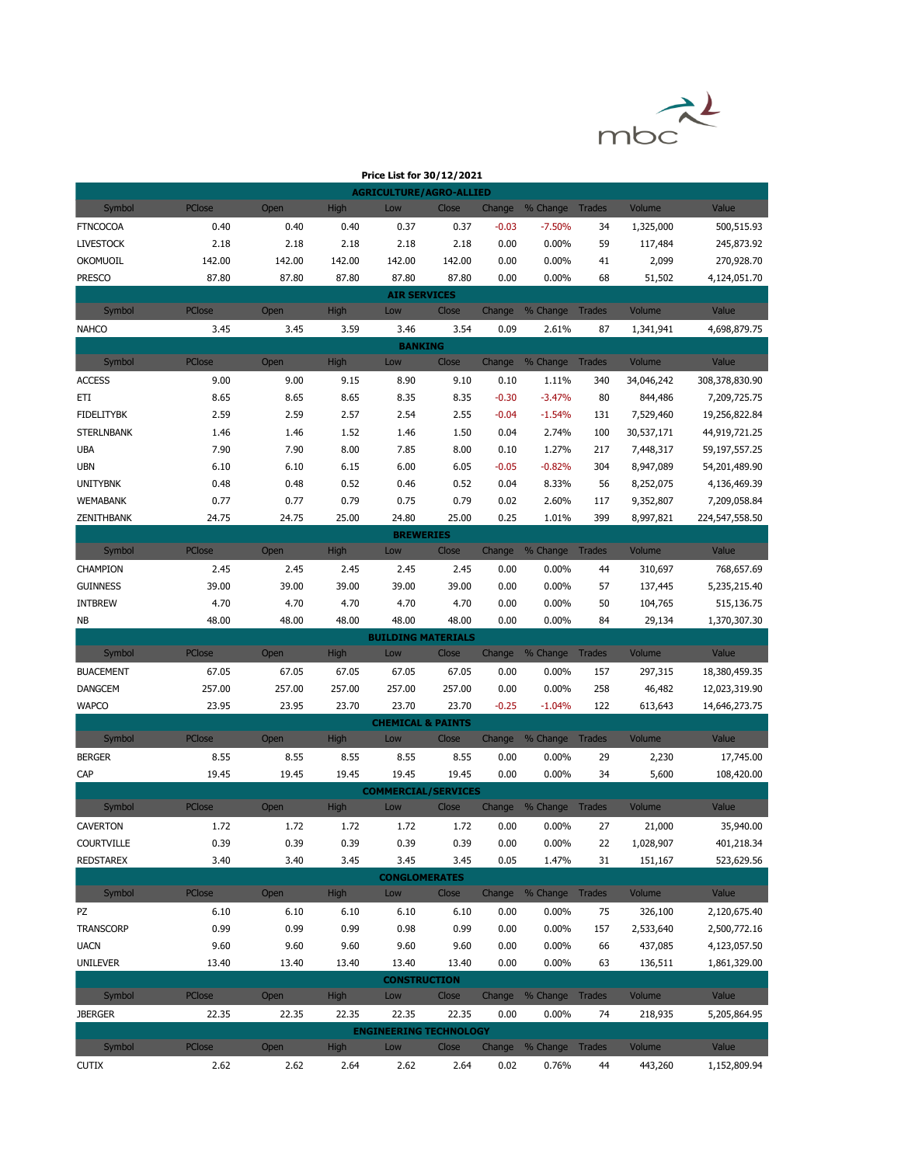

|                                        |               |              |              | Price List for 30/12/2021         |              |              |                        |               |                         |                                |
|----------------------------------------|---------------|--------------|--------------|-----------------------------------|--------------|--------------|------------------------|---------------|-------------------------|--------------------------------|
|                                        |               |              |              | <b>AGRICULTURE/AGRO-ALLIED</b>    |              |              |                        |               |                         |                                |
| Symbol                                 | PClose        | Open         | High         | Low                               | Close        | Change       | % Change Trades        |               | Volume                  | Value                          |
| <b>FTNCOCOA</b>                        | 0.40          | 0.40         | 0.40         | 0.37                              | 0.37         | $-0.03$      | $-7.50%$               | 34            | 1,325,000               | 500,515.93                     |
| <b>LIVESTOCK</b>                       | 2.18          | 2.18         | 2.18         | 2.18                              | 2.18         | 0.00         | 0.00%                  | 59            | 117,484                 | 245,873.92                     |
| OKOMUOIL                               | 142.00        | 142.00       | 142.00       | 142.00                            | 142.00       | 0.00         | 0.00%                  | 41            | 2,099                   | 270,928.70                     |
| <b>PRESCO</b>                          | 87.80         | 87.80        | 87.80        | 87.80                             | 87.80        | 0.00         | 0.00%                  | 68            | 51,502                  | 4,124,051.70                   |
|                                        |               |              |              | <b>AIR SERVICES</b>               |              |              |                        |               |                         |                                |
| Symbol                                 | PClose        | Open         | <b>High</b>  | Low                               | Close        | Change       | % Change Trades        |               | Volume                  | Value                          |
| <b>NAHCO</b>                           | 3.45          | 3.45         | 3.59         | 3.46                              | 3.54         | 0.09         | 2.61%                  | 87            | 1,341,941               | 4,698,879.75                   |
|                                        |               |              |              | <b>BANKING</b>                    |              |              |                        |               |                         |                                |
| Symbol                                 | PClose        | Open         | <b>High</b>  | Low                               | Close        | Change       | % Change Trades        |               | Volume                  | Value                          |
| <b>ACCESS</b>                          | 9.00          | 9.00         | 9.15         | 8.90                              | 9.10         | 0.10         | 1.11%                  | 340           | 34,046,242              | 308,378,830.90                 |
| ETI                                    | 8.65          | 8.65         | 8.65         | 8.35                              | 8.35         | $-0.30$      | $-3.47%$               | 80            | 844,486                 | 7,209,725.75                   |
| <b>FIDELITYBK</b><br><b>STERLNBANK</b> | 2.59<br>1.46  | 2.59<br>1.46 | 2.57<br>1.52 | 2.54<br>1.46                      | 2.55<br>1.50 | $-0.04$      | $-1.54%$<br>2.74%      | 131<br>100    | 7,529,460<br>30,537,171 | 19,256,822.84                  |
| UBA                                    | 7.90          | 7.90         | 8.00         | 7.85                              | 8.00         | 0.04<br>0.10 | 1.27%                  | 217           | 7,448,317               | 44,919,721.25<br>59,197,557.25 |
| <b>UBN</b>                             | 6.10          | 6.10         | 6.15         | 6.00                              | 6.05         | $-0.05$      | $-0.82%$               | 304           | 8,947,089               | 54,201,489.90                  |
| <b>UNITYBNK</b>                        | 0.48          | 0.48         | 0.52         | 0.46                              | 0.52         | 0.04         | 8.33%                  | 56            | 8,252,075               | 4,136,469.39                   |
| <b>WEMABANK</b>                        | 0.77          | 0.77         | 0.79         | 0.75                              | 0.79         | 0.02         | 2.60%                  | 117           | 9,352,807               | 7,209,058.84                   |
| ZENITHBANK                             | 24.75         | 24.75        | 25.00        | 24.80                             | 25.00        | 0.25         | 1.01%                  | 399           | 8,997,821               | 224,547,558.50                 |
|                                        |               |              |              | <b>BREWERIES</b>                  |              |              |                        |               |                         |                                |
| Symbol                                 | PClose        | Open         | <b>High</b>  | Low                               | Close        | Change       | % Change               | <b>Trades</b> | Volume                  | Value                          |
| CHAMPION                               | 2.45          | 2.45         | 2.45         | 2.45                              | 2.45         | 0.00         | $0.00\%$               | 44            | 310,697                 | 768,657.69                     |
| <b>GUINNESS</b>                        | 39.00         | 39.00        | 39.00        | 39.00                             | 39.00        | 0.00         | 0.00%                  | 57            | 137,445                 | 5,235,215.40                   |
| <b>INTBREW</b>                         | 4.70          | 4.70         | 4.70         | 4.70                              | 4.70         | 0.00         | $0.00\%$               | 50            | 104,765                 | 515,136.75                     |
| NB                                     | 48.00         | 48.00        | 48.00        | 48.00                             | 48.00        | 0.00         | $0.00\%$               | 84            | 29,134                  | 1,370,307.30                   |
|                                        |               |              |              | <b>BUILDING MATERIALS</b>         |              |              |                        |               |                         |                                |
| Symbol                                 | <b>PClose</b> | Open         | <b>High</b>  | Low                               | Close        |              | Change % Change Trades |               | Volume                  | Value                          |
| <b>BUACEMENT</b>                       | 67.05         | 67.05        | 67.05        | 67.05                             | 67.05        | 0.00         | $0.00\%$               | 157           | 297,315                 | 18,380,459.35                  |
| <b>DANGCEM</b>                         | 257.00        | 257.00       | 257.00       | 257.00                            | 257.00       | 0.00         | $0.00\%$               | 258           | 46,482                  | 12,023,319.90                  |
| <b>WAPCO</b>                           | 23.95         | 23.95        | 23.70        | 23.70                             | 23.70        | $-0.25$      | $-1.04%$               | 122           | 613,643                 | 14,646,273.75                  |
|                                        |               |              |              | <b>CHEMICAL &amp; PAINTS</b>      |              |              |                        |               |                         |                                |
| Symbol                                 | PClose        | Open         | <b>High</b>  | Low                               | Close        | Change       | % Change               | <b>Trades</b> | Volume                  | Value                          |
| <b>BERGER</b>                          | 8.55          | 8.55         | 8.55         | 8.55                              | 8.55         | 0.00         | 0.00%                  | 29            | 2,230                   | 17,745.00                      |
| CAP                                    | 19.45         | 19.45        | 19.45        | 19.45                             | 19.45        | 0.00         | 0.00%                  | 34            | 5,600                   | 108,420.00                     |
| Symbol                                 | PClose        | Open         | High         | <b>COMMERCIAL/SERVICES</b><br>Low | Close        |              | Change % Change Trades |               | Volume                  | Value                          |
|                                        |               |              |              |                                   |              |              |                        |               |                         |                                |
| CAVERTON<br><b>COURTVILLE</b>          | 1.72<br>0.39  | 1.72<br>0.39 | 1.72<br>0.39 | 1.72<br>0.39                      | 1.72         | 0.00<br>0.00 | $0.00\%$<br>$0.00\%$   | 27            | 21,000                  | 35,940.00                      |
| <b>REDSTAREX</b>                       | 3.40          | 3.40         | 3.45         | 3.45                              | 0.39<br>3.45 | 0.05         | 1.47%                  | 22<br>31      | 1,028,907<br>151,167    | 401,218.34<br>523,629.56       |
|                                        |               |              |              | <b>CONGLOMERATES</b>              |              |              |                        |               |                         |                                |
| Symbol                                 | <b>PClose</b> | Open         | <b>High</b>  | Low                               | Close        |              | Change % Change        | <b>Trades</b> | Volume                  | Value                          |
| PZ                                     | 6.10          | 6.10         | 6.10         | 6.10                              | 6.10         | 0.00         | $0.00\%$               | 75            | 326,100                 | 2,120,675.40                   |
| <b>TRANSCORP</b>                       | 0.99          | 0.99         | 0.99         | 0.98                              | 0.99         | 0.00         | 0.00%                  | 157           | 2,533,640               | 2,500,772.16                   |
| <b>UACN</b>                            | 9.60          | 9.60         | 9.60         | 9.60                              | 9.60         | 0.00         | 0.00%                  | 66            | 437,085                 | 4,123,057.50                   |
| <b>UNILEVER</b>                        | 13.40         | 13.40        | 13.40        | 13.40                             | 13.40        | 0.00         | 0.00%                  | 63            | 136,511                 | 1,861,329.00                   |
|                                        |               |              |              | <b>CONSTRUCTION</b>               |              |              |                        |               |                         |                                |
| Symbol                                 | PClose        | Open         | <b>High</b>  | Low                               | Close        |              | Change % Change Trades |               | Volume                  | Value                          |
| <b>JBERGER</b>                         | 22.35         | 22.35        | 22.35        | 22.35                             | 22.35        | 0.00         | $0.00\%$               | 74            | 218,935                 | 5,205,864.95                   |
|                                        |               |              |              | <b>ENGINEERING TECHNOLOGY</b>     |              |              |                        |               |                         |                                |
| Symbol                                 | PClose        | Open         | <b>High</b>  | Low                               | Close        | Change       | % Change Trades        |               | Volume                  | Value                          |
| <b>CUTIX</b>                           | 2.62          | 2.62         | 2.64         | 2.62                              | 2.64         | 0.02         | 0.76%                  | 44            | 443,260                 | 1,152,809.94                   |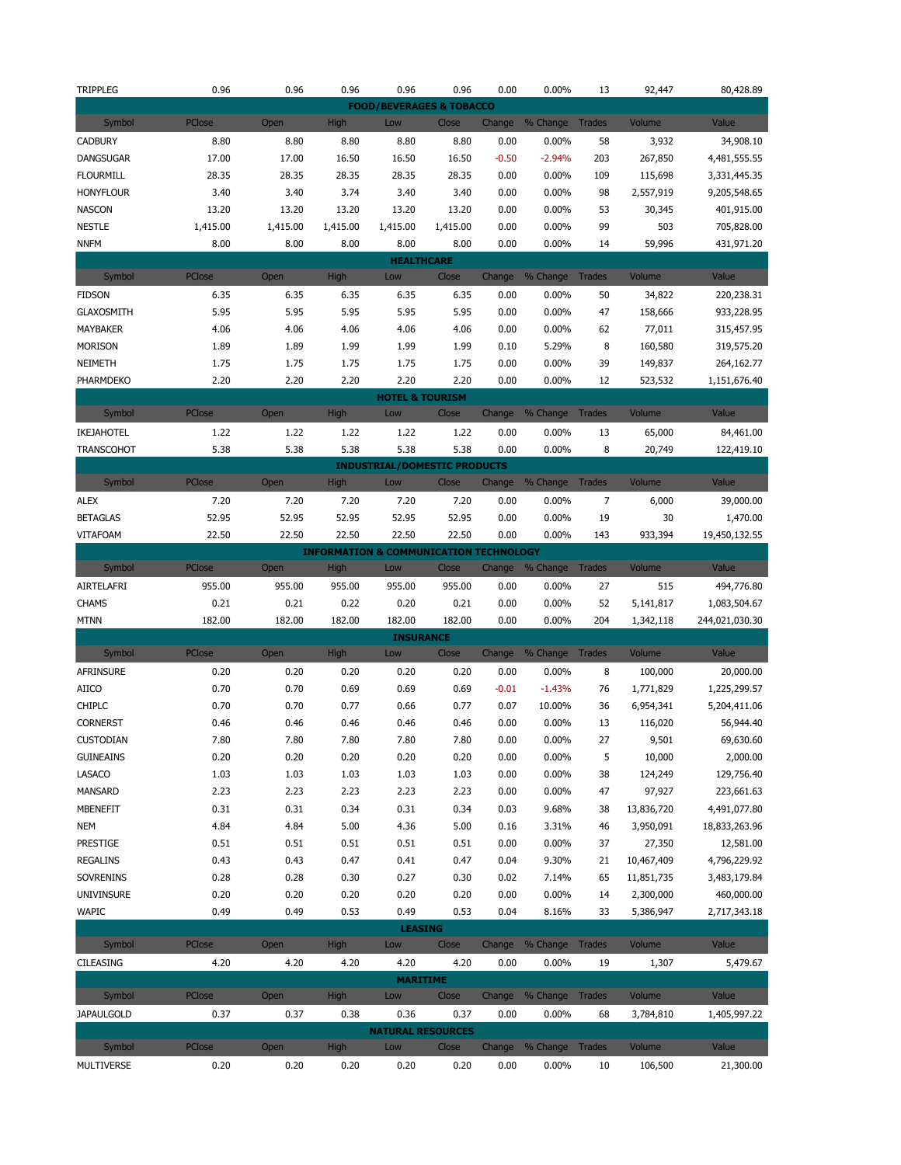| <b>TRIPPLEG</b>             | 0.96           | 0.96         | 0.96                | 0.96                                              | 0.96          | 0.00           | 0.00%                    | 13            | 92,447            | 80,428.89          |
|-----------------------------|----------------|--------------|---------------------|---------------------------------------------------|---------------|----------------|--------------------------|---------------|-------------------|--------------------|
|                             |                |              |                     | <b>FOOD/BEVERAGES &amp; TOBACCO</b>               |               |                |                          |               |                   |                    |
| Symbol                      | PClose         | Open         | <b>High</b>         | Low                                               | Close         | Change         | % Change                 | <b>Trades</b> | Volume            | Value              |
| <b>CADBURY</b>              | 8.80           | 8.80         | 8.80                | 8.80                                              | 8.80          | 0.00           | 0.00%                    | 58            | 3,932             | 34,908.10          |
| <b>DANGSUGAR</b>            | 17.00          | 17.00        | 16.50               | 16.50                                             | 16.50         | $-0.50$        | $-2.94%$                 | 203           | 267,850           | 4,481,555.55       |
| <b>FLOURMILL</b>            | 28.35          | 28.35        | 28.35               | 28.35                                             | 28.35         | 0.00           | 0.00%                    | 109           | 115,698           | 3,331,445.35       |
| <b>HONYFLOUR</b>            | 3.40           | 3.40         | 3.74                | 3.40                                              | 3.40          | 0.00           | 0.00%                    | 98            | 2,557,919         | 9,205,548.65       |
| <b>NASCON</b>               | 13.20          | 13.20        | 13.20               | 13.20                                             | 13.20         | 0.00           | 0.00%                    | 53            | 30,345            | 401,915.00         |
| <b>NESTLE</b>               | 1,415.00       | 1,415.00     | 1,415.00            | 1,415.00                                          | 1,415.00      | 0.00           | 0.00%                    | 99            | 503               | 705,828.00         |
| <b>NNFM</b>                 | 8.00           | 8.00         | 8.00                | 8.00                                              | 8.00          | 0.00           | 0.00%                    | 14            | 59,996            | 431,971.20         |
|                             |                |              |                     | <b>HEALTHCARE</b>                                 |               |                |                          |               |                   |                    |
| Symbol                      | PClose         | Open         | <b>High</b>         | Low                                               | Close         | Change         | % Change                 | <b>Trades</b> | Volume            | Value              |
| <b>FIDSON</b>               | 6.35           | 6.35         | 6.35                | 6.35                                              | 6.35          | 0.00           | 0.00%                    | 50            | 34,822            | 220,238.31         |
| <b>GLAXOSMITH</b>           | 5.95           | 5.95         | 5.95                | 5.95                                              | 5.95          | 0.00           | 0.00%                    | 47            | 158,666           | 933,228.95         |
| MAYBAKER                    | 4.06           | 4.06         | 4.06                | 4.06                                              | 4.06          | 0.00           | 0.00%                    | 62            | 77,011            | 315,457.95         |
| <b>MORISON</b>              | 1.89           | 1.89         | 1.99                | 1.99                                              | 1.99          | 0.10           | 5.29%                    | 8             | 160,580           | 319,575.20         |
| NEIMETH                     | 1.75           | 1.75         | 1.75                | 1.75                                              | 1.75          | 0.00           | 0.00%                    | 39            | 149,837           | 264,162.77         |
| PHARMDEKO                   | 2.20           | 2.20         | 2.20                | 2.20                                              | 2.20          | 0.00           | 0.00%                    | 12            | 523,532           | 1,151,676.40       |
|                             |                |              |                     | <b>HOTEL &amp; TOURISM</b>                        |               |                |                          |               |                   |                    |
| Symbol                      | PClose         | Open         | <b>High</b>         | Low                                               | Close         | Change         | % Change                 | <b>Trades</b> | Volume            | Value              |
| IKEJAHOTEL                  | 1.22           | 1.22         | 1.22                | 1.22                                              | 1.22          | 0.00           | 0.00%                    | 13            | 65,000            | 84,461.00          |
| <b>TRANSCOHOT</b>           | 5.38           | 5.38         | 5.38                | 5.38                                              | 5.38          | 0.00           | 0.00%                    | 8             | 20,749            | 122,419.10         |
|                             |                |              |                     | <b>INDUSTRIAL/DOMESTIC PRODUCTS</b>               |               |                |                          |               |                   |                    |
| Symbol                      | <b>PClose</b>  | Open         | <b>High</b>         | Low                                               | Close         |                | Change % Change          | Trades        | Volume            | Value              |
| <b>ALEX</b>                 | 7.20           | 7.20         | 7.20                | 7.20                                              | 7.20          | 0.00           | 0.00%                    | 7             | 6,000             | 39,000.00          |
| <b>BETAGLAS</b>             | 52.95          | 52.95        | 52.95               | 52.95                                             | 52.95         | 0.00           | 0.00%                    | 19            | 30                | 1,470.00           |
| <b>VITAFOAM</b>             | 22.50          | 22.50        | 22.50               | 22.50                                             | 22.50         | 0.00           | 0.00%                    | 143           | 933,394           | 19,450,132.55      |
|                             |                |              |                     | <b>INFORMATION &amp; COMMUNICATION TECHNOLOGY</b> |               |                |                          |               |                   |                    |
| Symbol                      | <b>PClose</b>  | Open         | <b>High</b>         | Low                                               | Close         | Change         | % Change                 | <b>Trades</b> | Volume            | Value              |
|                             |                |              |                     |                                                   |               |                |                          |               |                   |                    |
| AIRTELAFRI                  | 955.00         | 955.00       | 955.00              | 955.00                                            | 955.00        | 0.00           | 0.00%                    | 27            | 515               | 494,776.80         |
| <b>CHAMS</b>                | 0.21           | 0.21         | 0.22                | 0.20                                              | 0.21          | 0.00           | 0.00%                    | 52            | 5,141,817         | 1,083,504.67       |
| <b>MTNN</b>                 | 182.00         | 182.00       | 182.00              | 182.00                                            | 182.00        | 0.00           | 0.00%                    | 204           | 1,342,118         | 244,021,030.30     |
|                             |                |              |                     | <b>INSURANCE</b>                                  |               |                |                          |               |                   |                    |
| Symbol                      | <b>PClose</b>  | Open         | <b>High</b>         | Low                                               | Close         | Change         | % Change Trades          |               | Volume            | Value              |
| <b>AFRINSURE</b>            | 0.20           | 0.20         | 0.20                | 0.20                                              | 0.20          | 0.00           | 0.00%                    | 8             | 100,000           | 20,000.00          |
| <b>AIICO</b>                | 0.70           | 0.70         | 0.69                | 0.69                                              | 0.69          | $-0.01$        | $-1.43%$                 | 76            | 1,771,829         | 1,225,299.57       |
| <b>CHIPLC</b>               | 0.70           | 0.70         | 0.77                | 0.66                                              | 0.77          | 0.07           | 10.00%                   | 36            | 6,954,341         | 5,204,411.06       |
| <b>CORNERST</b>             | 0.46           | 0.46         | 0.46                | 0.46                                              | 0.46          | 0.00           | 0.00%                    | 13            | 116,020           | 56,944.40          |
| CUSTODIAN                   | 7.80           | 7.80         | 7.80                | 7.80                                              | 7.80          | 0.00           | 0.00%                    | 27            | 9,501             | 69,630.60          |
| <b>GUINEAINS</b>            | 0.20           | 0.20         | 0.20                | 0.20                                              | 0.20          | 0.00           | 0.00%                    | 5             | 10,000            | 2,000.00           |
| LASACO                      | 1.03           | 1.03         | 1.03                | 1.03                                              | 1.03          | 0.00           | 0.00%                    | 38            | 124,249           | 129,756.40         |
| MANSARD                     | 2.23           | 2.23         | 2.23                | 2.23                                              | 2.23          | 0.00           | 0.00%                    | 47            | 97,927            | 223,661.63         |
| <b>MBENEFIT</b>             | 0.31           | 0.31         | 0.34                | 0.31                                              | 0.34          | 0.03           | 9.68%                    | 38            | 13,836,720        | 4,491,077.80       |
| <b>NEM</b>                  | 4.84           | 4.84         | 5.00                | 4.36                                              | 5.00          | 0.16           | 3.31%                    | 46            | 3,950,091         | 18,833,263.96      |
| PRESTIGE                    | 0.51           | 0.51         | 0.51                | 0.51                                              | 0.51          | 0.00           | 0.00%                    | 37            | 27,350            | 12,581.00          |
| <b>REGALINS</b>             | 0.43           | 0.43         | 0.47                | 0.41                                              | 0.47          | 0.04           | 9.30%                    | 21            | 10,467,409        | 4,796,229.92       |
| <b>SOVRENINS</b>            | 0.28           | 0.28         | 0.30                | 0.27                                              | 0.30          | 0.02           | 7.14%                    | 65            | 11,851,735        | 3,483,179.84       |
| UNIVINSURE                  | 0.20           | 0.20         | 0.20                | 0.20                                              | 0.20          | 0.00           | 0.00%                    | 14            | 2,300,000         | 460,000.00         |
| <b>WAPIC</b>                | 0.49           | 0.49         | 0.53                | 0.49                                              | 0.53          | 0.04           | 8.16%                    | 33            | 5,386,947         | 2,717,343.18       |
|                             |                |              |                     | <b>LEASING</b>                                    |               |                |                          |               |                   |                    |
| Symbol                      | <b>PClose</b>  | Open         | <b>High</b>         | Low                                               | Close         | Change         | % Change                 | Trades        | Volume            | Value              |
| <b>CILEASING</b>            | 4.20           | 4.20         | 4.20                | 4.20                                              | 4.20          | 0.00           | 0.00%                    | 19            | 1,307             | 5,479.67           |
|                             |                |              |                     | <b>MARITIME</b>                                   |               |                |                          |               |                   |                    |
| Symbol                      | <b>PClose</b>  | Open         | <b>High</b>         | Low                                               | Close         | Change         | % Change                 | <b>Trades</b> | Volume            | Value              |
| <b>JAPAULGOLD</b>           | 0.37           | 0.37         | 0.38                | 0.36                                              | 0.37          | 0.00           | 0.00%                    | 68            | 3,784,810         | 1,405,997.22       |
|                             |                |              |                     | <b>NATURAL RESOURCES</b>                          |               |                |                          |               |                   |                    |
| Symbol<br><b>MULTIVERSE</b> | PClose<br>0.20 | Open<br>0.20 | <b>High</b><br>0.20 | Low<br>0.20                                       | Close<br>0.20 | Change<br>0.00 | % Change Trades<br>0.00% | 10            | Volume<br>106,500 | Value<br>21,300.00 |